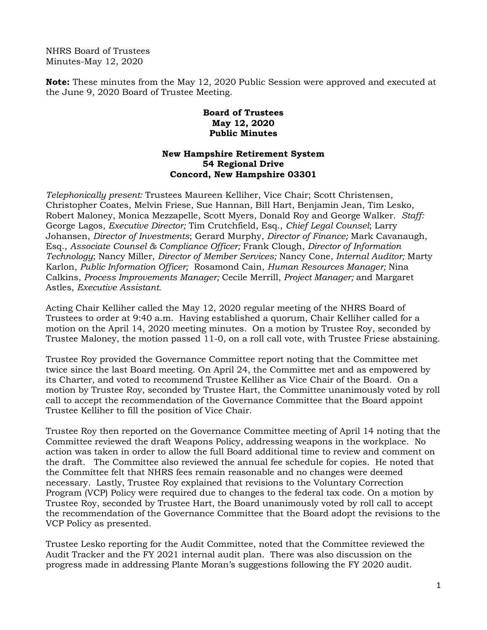NHRS Board of Trustees Minutes-May 12, 2020

**Note:** These minutes from the May 12, 2020 Public Session were approved and executed at the June 9, 2020 Board of Trustee Meeting.

## **Board of Trustees May 12, 2020 Public Minutes**

## **New Hampshire Retirement System 54 Regional Drive Concord, New Hampshire 03301**

*Telephonically present:* Trustees Maureen Kelliher, Vice Chair; Scott Christensen, Christopher Coates, Melvin Friese, Sue Hannan, Bill Hart, Benjamin Jean, Tim Lesko, Robert Maloney, Monica Mezzapelle, Scott Myers, Donald Roy and George Walker. *Staff:*  George Lagos, *Executive Director;* Tim Crutchfield, Esq., *Chief Legal Counsel*; Larry Johansen, *Director of Investments*; Gerard Murphy, *Director of Finance;* Mark Cavanaugh, Esq., *Associate Counsel & Compliance Officer;* Frank Clough, *Director of Information Technology*; Nancy Miller, *Director of Member Services;* Nancy Cone, *Internal Auditor;* Marty Karlon, *Public Information Officer;* Rosamond Cain, *Human Resources Manager;* Nina Calkins, *Process Improvements Manager;* Cecile Merrill, *Project Manager;* and Margaret Astles, *Executive Assistant.* 

Acting Chair Kelliher called the May 12, 2020 regular meeting of the NHRS Board of Trustees to order at 9:40 a.m. Having established a quorum, Chair Kelliher called for a motion on the April 14, 2020 meeting minutes. On a motion by Trustee Roy, seconded by Trustee Maloney, the motion passed 11-0, on a roll call vote, with Trustee Friese abstaining.

Trustee Roy provided the Governance Committee report noting that the Committee met twice since the last Board meeting. On April 24, the Committee met and as empowered by its Charter, and voted to recommend Trustee Kelliher as Vice Chair of the Board. On a motion by Trustee Roy, seconded by Trustee Hart, the Committee unanimously voted by roll call to accept the recommendation of the Governance Committee that the Board appoint Trustee Kelliher to fill the position of Vice Chair.

Trustee Roy then reported on the Governance Committee meeting of April 14 noting that the Committee reviewed the draft Weapons Policy, addressing weapons in the workplace. No action was taken in order to allow the full Board additional time to review and comment on the draft. The Committee also reviewed the annual fee schedule for copies. He noted that the Committee felt that NHRS fees remain reasonable and no changes were deemed necessary. Lastly, Trustee Roy explained that revisions to the Voluntary Correction Program (VCP) Policy were required due to changes to the federal tax code. On a motion by Trustee Roy, seconded by Trustee Hart, the Board unanimously voted by roll call to accept the recommendation of the Governance Committee that the Board adopt the revisions to the VCP Policy as presented.

Trustee Lesko reporting for the Audit Committee, noted that the Committee reviewed the Audit Tracker and the FY 2021 internal audit plan. There was also discussion on the progress made in addressing Plante Moran's suggestions following the FY 2020 audit.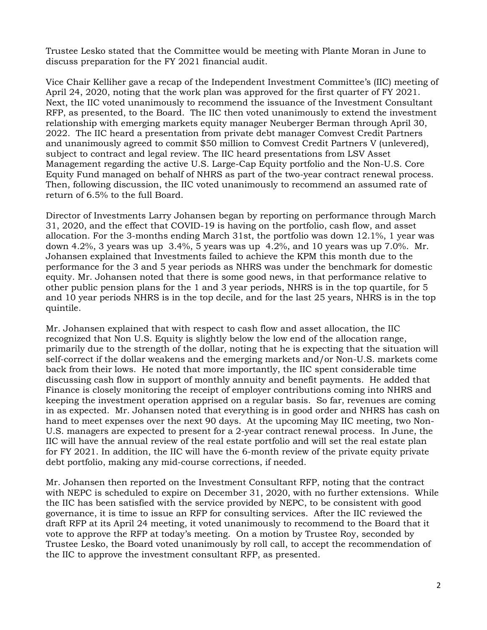Trustee Lesko stated that the Committee would be meeting with Plante Moran in June to discuss preparation for the FY 2021 financial audit.

Vice Chair Kelliher gave a recap of the Independent Investment Committee's (IIC) meeting of April 24, 2020, noting that the work plan was approved for the first quarter of FY 2021. Next, the IIC voted unanimously to recommend the issuance of the Investment Consultant RFP, as presented, to the Board. The IIC then voted unanimously to extend the investment relationship with emerging markets equity manager Neuberger Berman through April 30, 2022. The IIC heard a presentation from private debt manager Comvest Credit Partners and unanimously agreed to commit \$50 million to Comvest Credit Partners V (unlevered), subject to contract and legal review. The IIC heard presentations from LSV Asset Management regarding the active U.S. Large-Cap Equity portfolio and the Non-U.S. Core Equity Fund managed on behalf of NHRS as part of the two-year contract renewal process. Then, following discussion, the IIC voted unanimously to recommend an assumed rate of return of 6.5% to the full Board.

Director of Investments Larry Johansen began by reporting on performance through March 31, 2020, and the effect that COVID-19 is having on the portfolio, cash flow, and asset allocation. For the 3-months ending March 31st, the portfolio was down 12.1%, 1 year was down 4.2%, 3 years was up  $3.4\%$ , 5 years was up 4.2%, and 10 years was up 7.0%. Mr. Johansen explained that Investments failed to achieve the KPM this month due to the performance for the 3 and 5 year periods as NHRS was under the benchmark for domestic equity. Mr. Johansen noted that there is some good news, in that performance relative to other public pension plans for the 1 and 3 year periods, NHRS is in the top quartile, for 5 and 10 year periods NHRS is in the top decile, and for the last 25 years, NHRS is in the top quintile.

Mr. Johansen explained that with respect to cash flow and asset allocation, the IIC recognized that Non U.S. Equity is slightly below the low end of the allocation range, primarily due to the strength of the dollar, noting that he is expecting that the situation will self-correct if the dollar weakens and the emerging markets and/or Non-U.S. markets come back from their lows. He noted that more importantly, the IIC spent considerable time discussing cash flow in support of monthly annuity and benefit payments. He added that Finance is closely monitoring the receipt of employer contributions coming into NHRS and keeping the investment operation apprised on a regular basis. So far, revenues are coming in as expected. Mr. Johansen noted that everything is in good order and NHRS has cash on hand to meet expenses over the next 90 days. At the upcoming May IIC meeting, two Non-U.S. managers are expected to present for a 2-year contract renewal process. In June, the IIC will have the annual review of the real estate portfolio and will set the real estate plan for FY 2021. In addition, the IIC will have the 6-month review of the private equity private debt portfolio, making any mid-course corrections, if needed.

Mr. Johansen then reported on the Investment Consultant RFP, noting that the contract with NEPC is scheduled to expire on December 31, 2020, with no further extensions. While the IIC has been satisfied with the service provided by NEPC, to be consistent with good governance, it is time to issue an RFP for consulting services. After the IIC reviewed the draft RFP at its April 24 meeting, it voted unanimously to recommend to the Board that it vote to approve the RFP at today's meeting. On a motion by Trustee Roy, seconded by Trustee Lesko, the Board voted unanimously by roll call, to accept the recommendation of the IIC to approve the investment consultant RFP, as presented.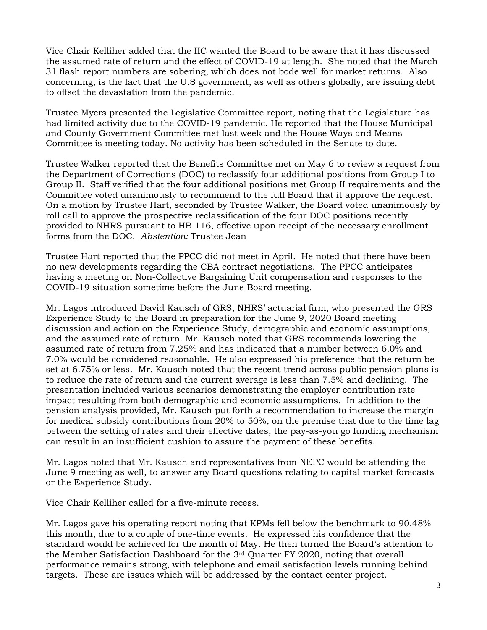Vice Chair Kelliher added that the IIC wanted the Board to be aware that it has discussed the assumed rate of return and the effect of COVID-19 at length. She noted that the March 31 flash report numbers are sobering, which does not bode well for market returns. Also concerning, is the fact that the U.S government, as well as others globally, are issuing debt to offset the devastation from the pandemic.

Trustee Myers presented the Legislative Committee report, noting that the Legislature has had limited activity due to the COVID-19 pandemic. He reported that the House Municipal and County Government Committee met last week and the House Ways and Means Committee is meeting today. No activity has been scheduled in the Senate to date.

Trustee Walker reported that the Benefits Committee met on May 6 to review a request from the Department of Corrections (DOC) to reclassify four additional positions from Group I to Group II. Staff verified that the four additional positions met Group II requirements and the Committee voted unanimously to recommend to the full Board that it approve the request. On a motion by Trustee Hart, seconded by Trustee Walker, the Board voted unanimously by roll call to approve the prospective reclassification of the four DOC positions recently provided to NHRS pursuant to HB 116, effective upon receipt of the necessary enrollment forms from the DOC. *Abstention:* Trustee Jean

Trustee Hart reported that the PPCC did not meet in April. He noted that there have been no new developments regarding the CBA contract negotiations. The PPCC anticipates having a meeting on Non-Collective Bargaining Unit compensation and responses to the COVID-19 situation sometime before the June Board meeting.

Mr. Lagos introduced David Kausch of GRS, NHRS' actuarial firm, who presented the GRS Experience Study to the Board in preparation for the June 9, 2020 Board meeting discussion and action on the Experience Study, demographic and economic assumptions, and the assumed rate of return. Mr. Kausch noted that GRS recommends lowering the assumed rate of return from 7.25% and has indicated that a number between 6.0% and 7.0% would be considered reasonable. He also expressed his preference that the return be set at 6.75% or less. Mr. Kausch noted that the recent trend across public pension plans is to reduce the rate of return and the current average is less than 7.5% and declining. The presentation included various scenarios demonstrating the employer contribution rate impact resulting from both demographic and economic assumptions. In addition to the pension analysis provided, Mr. Kausch put forth a recommendation to increase the margin for medical subsidy contributions from 20% to 50%, on the premise that due to the time lag between the setting of rates and their effective dates, the pay-as-you go funding mechanism can result in an insufficient cushion to assure the payment of these benefits.

Mr. Lagos noted that Mr. Kausch and representatives from NEPC would be attending the June 9 meeting as well, to answer any Board questions relating to capital market forecasts or the Experience Study.

Vice Chair Kelliher called for a five-minute recess.

Mr. Lagos gave his operating report noting that KPMs fell below the benchmark to 90.48% this month, due to a couple of one-time events. He expressed his confidence that the standard would be achieved for the month of May. He then turned the Board's attention to the Member Satisfaction Dashboard for the 3rd Quarter FY 2020, noting that overall performance remains strong, with telephone and email satisfaction levels running behind targets. These are issues which will be addressed by the contact center project.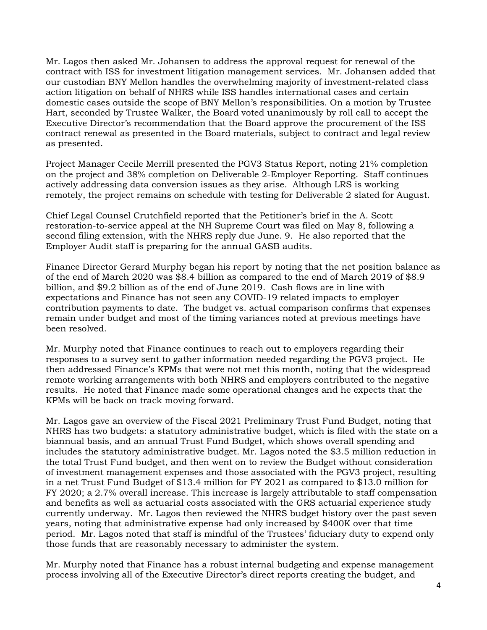Mr. Lagos then asked Mr. Johansen to address the approval request for renewal of the contract with ISS for investment litigation management services. Mr. Johansen added that our custodian BNY Mellon handles the overwhelming majority of investment-related class action litigation on behalf of NHRS while ISS handles international cases and certain domestic cases outside the scope of BNY Mellon's responsibilities. On a motion by Trustee Hart, seconded by Trustee Walker, the Board voted unanimously by roll call to accept the Executive Director's recommendation that the Board approve the procurement of the ISS contract renewal as presented in the Board materials, subject to contract and legal review as presented.

Project Manager Cecile Merrill presented the PGV3 Status Report, noting 21% completion on the project and 38% completion on Deliverable 2-Employer Reporting. Staff continues actively addressing data conversion issues as they arise. Although LRS is working remotely, the project remains on schedule with testing for Deliverable 2 slated for August.

Chief Legal Counsel Crutchfield reported that the Petitioner's brief in the A. Scott restoration-to-service appeal at the NH Supreme Court was filed on May 8, following a second filing extension, with the NHRS reply due June. 9. He also reported that the Employer Audit staff is preparing for the annual GASB audits.

Finance Director Gerard Murphy began his report by noting that the net position balance as of the end of March 2020 was \$8.4 billion as compared to the end of March 2019 of \$8.9 billion, and \$9.2 billion as of the end of June 2019. Cash flows are in line with expectations and Finance has not seen any COVID-19 related impacts to employer contribution payments to date. The budget vs. actual comparison confirms that expenses remain under budget and most of the timing variances noted at previous meetings have been resolved.

Mr. Murphy noted that Finance continues to reach out to employers regarding their responses to a survey sent to gather information needed regarding the PGV3 project. He then addressed Finance's KPMs that were not met this month, noting that the widespread remote working arrangements with both NHRS and employers contributed to the negative results. He noted that Finance made some operational changes and he expects that the KPMs will be back on track moving forward.

Mr. Lagos gave an overview of the Fiscal 2021 Preliminary Trust Fund Budget, noting that NHRS has two budgets: a statutory administrative budget, which is filed with the state on a biannual basis, and an annual Trust Fund Budget, which shows overall spending and includes the statutory administrative budget. Mr. Lagos noted the \$3.5 million reduction in the total Trust Fund budget, and then went on to review the Budget without consideration of investment management expenses and those associated with the PGV3 project, resulting in a net Trust Fund Budget of \$13.4 million for FY 2021 as compared to \$13.0 million for FY 2020; a 2.7% overall increase. This increase is largely attributable to staff compensation and benefits as well as actuarial costs associated with the GRS actuarial experience study currently underway. Mr. Lagos then reviewed the NHRS budget history over the past seven years, noting that administrative expense had only increased by \$400K over that time period. Mr. Lagos noted that staff is mindful of the Trustees' fiduciary duty to expend only those funds that are reasonably necessary to administer the system.

Mr. Murphy noted that Finance has a robust internal budgeting and expense management process involving all of the Executive Director's direct reports creating the budget, and